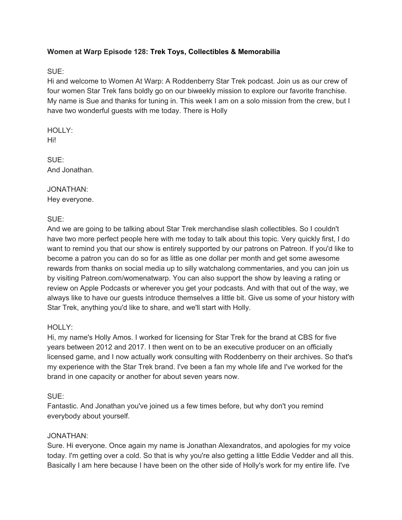### **Women at Warp Episode 128: Trek Toys, Collectibles & Memorabilia**

### SUE:

Hi and welcome to Women At Warp: A Roddenberry Star Trek podcast. Join us as our crew of four women Star Trek fans boldly go on our biweekly mission to explore our favorite franchise. My name is Sue and thanks for tuning in. This week I am on a solo mission from the crew, but I have two wonderful guests with me today. There is Holly

HOLLY: Hi!

SUE: And Jonathan.

JONATHAN: Hey everyone.

SUE:

And we are going to be talking about Star Trek merchandise slash collectibles. So I couldn't have two more perfect people here with me today to talk about this topic. Very quickly first, I do want to remind you that our show is entirely supported by our patrons on Patreon. If you'd like to become a patron you can do so for as little as one dollar per month and get some awesome rewards from thanks on social media up to silly watchalong commentaries, and you can join us by visiting Patreon.com/womenatwarp. You can also support the show by leaving a rating or review on Apple Podcasts or wherever you get your podcasts. And with that out of the way, we always like to have our guests introduce themselves a little bit. Give us some of your history with Star Trek, anything you'd like to share, and we'll start with Holly.

#### HOLLY:

Hi, my name's Holly Amos. I worked for licensing for Star Trek for the brand at CBS for five years between 2012 and 2017. I then went on to be an executive producer on an officially licensed game, and I now actually work consulting with Roddenberry on their archives. So that's my experience with the Star Trek brand. I've been a fan my whole life and I've worked for the brand in one capacity or another for about seven years now.

### SUE:

Fantastic. And Jonathan you've joined us a few times before, but why don't you remind everybody about yourself.

#### JONATHAN:

Sure. Hi everyone. Once again my name is Jonathan Alexandratos, and apologies for my voice today. I'm getting over a cold. So that is why you're also getting a little Eddie Vedder and all this. Basically I am here because I have been on the other side of Holly's work for my entire life. I've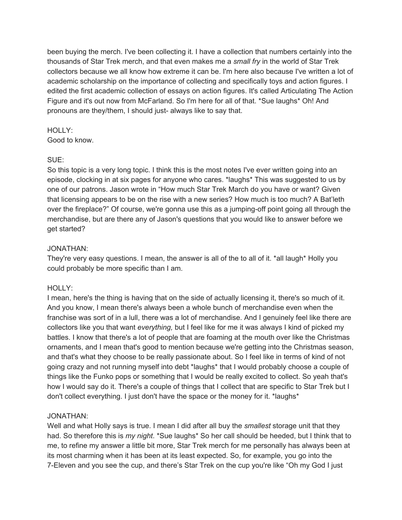been buying the merch. I've been collecting it. I have a collection that numbers certainly into the thousands of Star Trek merch, and that even makes me a *small fry* in the world of Star Trek collectors because we all know how extreme it can be. I'm here also because I've written a lot of academic scholarship on the importance of collecting and specifically toys and action figures. I edited the first academic collection of essays on action figures. It's called Articulating The Action Figure and it's out now from McFarland. So I'm here for all of that. \*Sue laughs\* Oh! And pronouns are they/them, I should just- always like to say that.

#### HOLLY:

Good to know.

#### SUE:

So this topic is a very long topic. I think this is the most notes I've ever written going into an episode, clocking in at six pages for anyone who cares. \*laughs\* This was suggested to us by one of our patrons. Jason wrote in "How much Star Trek March do you have or want? Given that licensing appears to be on the rise with a new series? How much is too much? A Bat'leth over the fireplace?" Of course, we're gonna use this as a jumping-off point going all through the merchandise, but are there any of Jason's questions that you would like to answer before we get started?

### JONATHAN:

They're very easy questions. I mean, the answer is all of the to all of it. \*all laugh\* Holly you could probably be more specific than I am.

### HOLLY:

I mean, here's the thing is having that on the side of actually licensing it, there's so much of it. And you know, I mean there's always been a whole bunch of merchandise even when the franchise was sort of in a lull, there was a lot of merchandise. And I genuinely feel like there are collectors like you that want *everything,* but I feel like for me it was always I kind of picked my battles. I know that there's a lot of people that are foaming at the mouth over like the Christmas ornaments, and I mean that's good to mention because we're getting into the Christmas season, and that's what they choose to be really passionate about. So I feel like in terms of kind of not going crazy and not running myself into debt \*laughs\* that I would probably choose a couple of things like the Funko pops or something that I would be really excited to collect. So yeah that's how I would say do it. There's a couple of things that I collect that are specific to Star Trek but I don't collect everything. I just don't have the space or the money for it. \*laughs\*

### JONATHAN:

Well and what Holly says is true. I mean I did after all buy the *smallest* storage unit that they had. So therefore this is *my night*. \*Sue laughs\* So her call should be heeded, but I think that to me, to refine my answer a little bit more, Star Trek merch for me personally has always been at its most charming when it has been at its least expected. So, for example, you go into the 7-Eleven and you see the cup, and there's Star Trek on the cup you're like "Oh my God I just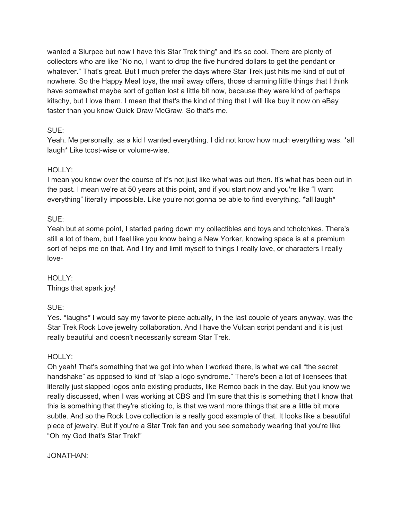wanted a Slurpee but now I have this Star Trek thing" and it's so cool. There are plenty of collectors who are like "No no, I want to drop the five hundred dollars to get the pendant or whatever." That's great. But I much prefer the days where Star Trek just hits me kind of out of nowhere. So the Happy Meal toys, the mail away offers, those charming little things that I think have somewhat maybe sort of gotten lost a little bit now, because they were kind of perhaps kitschy, but I love them. I mean that that's the kind of thing that I will like buy it now on eBay faster than you know Quick Draw McGraw. So that's me.

### SUE:

Yeah. Me personally, as a kid I wanted everything. I did not know how much everything was. \*all laugh\* Like tcost-wise or volume-wise.

### HOLLY:

I mean you know over the course of it's not just like what was out *then*. It's what has been out in the past. I mean we're at 50 years at this point, and if you start now and you're like "I want everything" literally impossible. Like you're not gonna be able to find everything. \*all laugh\*

### SUE:

Yeah but at some point, I started paring down my collectibles and toys and tchotchkes. There's still a lot of them, but I feel like you know being a New Yorker, knowing space is at a premium sort of helps me on that. And I try and limit myself to things I really love, or characters I really love-

### HOLLY: Things that spark joy!

SUE:

Yes. \*laughs\* I would say my favorite piece actually, in the last couple of years anyway, was the Star Trek Rock Love jewelry collaboration. And I have the Vulcan script pendant and it is just really beautiful and doesn't necessarily scream Star Trek.

### HOLLY:

Oh yeah! That's something that we got into when I worked there, is what we call "the secret handshake" as opposed to kind of "slap a logo syndrome." There's been a lot of licensees that literally just slapped logos onto existing products, like Remco back in the day. But you know we really discussed, when I was working at CBS and I'm sure that this is something that I know that this is something that they're sticking to, is that we want more things that are a little bit more subtle. And so the Rock Love collection is a really good example of that. It looks like a beautiful piece of jewelry. But if you're a Star Trek fan and you see somebody wearing that you're like "Oh my God that's Star Trek!"

JONATHAN: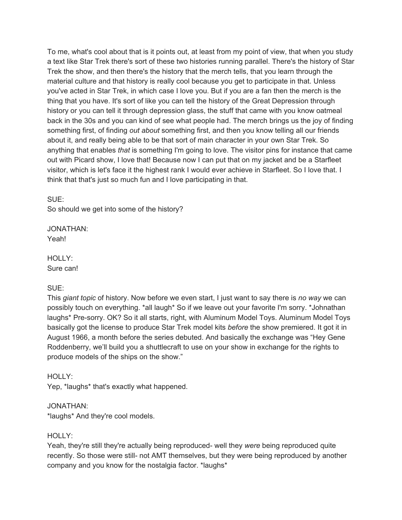To me, what's cool about that is it points out, at least from my point of view, that when you study a text like Star Trek there's sort of these two histories running parallel. There's the history of Star Trek the show, and then there's the history that the merch tells, that you learn through the material culture and that history is really cool because you get to participate in that. Unless you've acted in Star Trek, in which case I love you. But if you are a fan then the merch is the thing that you have. It's sort of like you can tell the history of the Great Depression through history or you can tell it through depression glass, the stuff that came with you know oatmeal back in the 30s and you can kind of see what people had. The merch brings us the joy of finding something first, of finding *out about* something first, and then you know telling all our friends about it, and really being able to be that sort of main character in your own Star Trek. So anything that enables *that* is something I'm going to love. The visitor pins for instance that came out with Picard show, I love that! Because now I can put that on my jacket and be a Starfleet visitor, which is let's face it the highest rank I would ever achieve in Starfleet. So I love that. I think that that's just so much fun and I love participating in that.

SUE: So should we get into some of the history?

JONATHAN: Yeah!

HOLLY: Sure can!

### SUE:

This *giant topic* of history. Now before we even start, I just want to say there is *no way* we can possibly touch on everything. \*all laugh\* So if we leave out your favorite I'm sorry. \*Johnathan laughs\* Pre-sorry. OK? So it all starts, right, with Aluminum Model Toys. Aluminum Model Toys basically got the license to produce Star Trek model kits *before* the show premiered. It got it in August 1966, a month before the series debuted. And basically the exchange was "Hey Gene Roddenberry, we'll build you a shuttlecraft to use on your show in exchange for the rights to produce models of the ships on the show."

HOLLY:

Yep, \*laughs\* that's exactly what happened.

### JONATHAN:

\*laughs\* And they're cool models.

### HOLLY:

Yeah, they're still they're actually being reproduced- well they *were* being reproduced quite recently. So those were still- not AMT themselves, but they were being reproduced by another company and you know for the nostalgia factor. \*laughs\*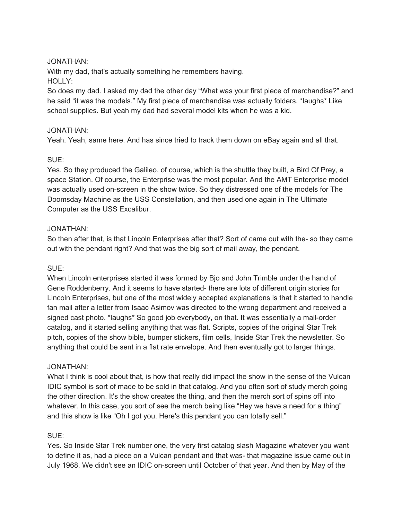### JONATHAN:

With my dad, that's actually something he remembers having. HOLLY:

So does my dad. I asked my dad the other day "What was your first piece of merchandise?" and he said "it was the models." My first piece of merchandise was actually folders. \*laughs\* Like school supplies. But yeah my dad had several model kits when he was a kid.

#### JONATHAN:

Yeah. Yeah, same here. And has since tried to track them down on eBay again and all that.

### SUE:

Yes. So they produced the Galileo, of course, which is the shuttle they built, a Bird Of Prey, a space Station. Of course, the Enterprise was the most popular. And the AMT Enterprise model was actually used on-screen in the show twice. So they distressed one of the models for The Doomsday Machine as the USS Constellation, and then used one again in The Ultimate Computer as the USS Excalibur.

### JONATHAN:

So then after that, is that Lincoln Enterprises after that? Sort of came out with the- so they came out with the pendant right? And that was the big sort of mail away, the pendant.

### SUE:

When Lincoln enterprises started it was formed by Bjo and John Trimble under the hand of Gene Roddenberry. And it seems to have started- there are lots of different origin stories for Lincoln Enterprises, but one of the most widely accepted explanations is that it started to handle fan mail after a letter from Isaac Asimov was directed to the wrong department and received a signed cast photo. \*laughs\* So good job everybody, on that. It was essentially a mail-order catalog, and it started selling anything that was flat. Scripts, copies of the original Star Trek pitch, copies of the show bible, bumper stickers, film cells, Inside Star Trek the newsletter. So anything that could be sent in a flat rate envelope. And then eventually got to larger things.

#### JONATHAN:

What I think is cool about that, is how that really did impact the show in the sense of the Vulcan IDIC symbol is sort of made to be sold in that catalog. And you often sort of study merch going the other direction. It's the show creates the thing, and then the merch sort of spins off into whatever. In this case, you sort of see the merch being like "Hey we have a need for a thing" and this show is like "Oh I got you. Here's this pendant you can totally sell."

### SUE:

Yes. So Inside Star Trek number one, the very first catalog slash Magazine whatever you want to define it as, had a piece on a Vulcan pendant and that was- that magazine issue came out in July 1968. We didn't see an IDIC on-screen until October of that year. And then by May of the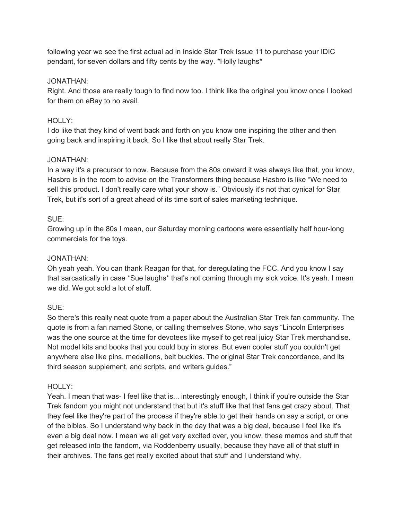following year we see the first actual ad in Inside Star Trek Issue 11 to purchase your IDIC pendant, for seven dollars and fifty cents by the way. \*Holly laughs\*

### JONATHAN:

Right. And those are really tough to find now too. I think like the original you know once I looked for them on eBay to no avail.

### HOLLY:

I do like that they kind of went back and forth on you know one inspiring the other and then going back and inspiring it back. So I like that about really Star Trek.

### JONATHAN:

In a way it's a precursor to now. Because from the 80s onward it was always like that, you know, Hasbro is in the room to advise on the Transformers thing because Hasbro is like "We need to sell this product. I don't really care what your show is." Obviously it's not that cynical for Star Trek, but it's sort of a great ahead of its time sort of sales marketing technique.

### SUE:

Growing up in the 80s I mean, our Saturday morning cartoons were essentially half hour-long commercials for the toys.

### JONATHAN:

Oh yeah yeah. You can thank Reagan for that, for deregulating the FCC. And you know I say that sarcastically in case \*Sue laughs\* that's not coming through my sick voice. It's yeah. I mean we did. We got sold a lot of stuff.

### SUE:

So there's this really neat quote from a paper about the Australian Star Trek fan community. The quote is from a fan named Stone, or calling themselves Stone, who says "Lincoln Enterprises was the one source at the time for devotees like myself to get real juicy Star Trek merchandise. Not model kits and books that you could buy in stores. But even cooler stuff you couldn't get anywhere else like pins, medallions, belt buckles. The original Star Trek concordance, and its third season supplement, and scripts, and writers guides."

### HOLLY:

Yeah. I mean that was- I feel like that is... interestingly enough, I think if you're outside the Star Trek fandom you might not understand that but it's stuff like that that fans get crazy about. That they feel like they're part of the process if they're able to get their hands on say a script, or one of the bibles. So I understand why back in the day that was a big deal, because I feel like it's even a big deal now. I mean we all get very excited over, you know, these memos and stuff that get released into the fandom, via Roddenberry usually, because they have all of that stuff in their archives. The fans get really excited about that stuff and I understand why.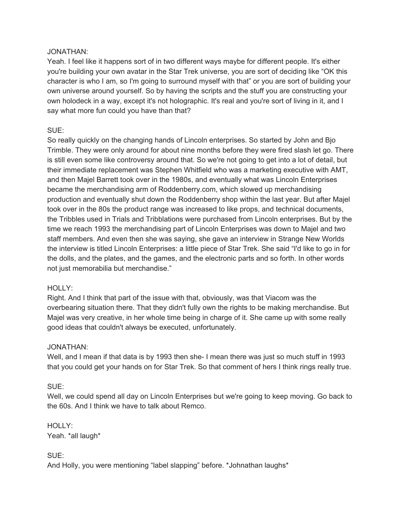#### JONATHAN:

Yeah. I feel like it happens sort of in two different ways maybe for different people. It's either you're building your own avatar in the Star Trek universe, you are sort of deciding like "OK this character is who I am, so I'm going to surround myself with that" or you are sort of building your own universe around yourself. So by having the scripts and the stuff you are constructing your own holodeck in a way, except it's not holographic. It's real and you're sort of living in it, and I say what more fun could you have than that?

### SUE:

So really quickly on the changing hands of Lincoln enterprises. So started by John and Bjo Trimble. They were only around for about nine months before they were fired slash let go. There is still even some like controversy around that. So we're not going to get into a lot of detail, but their immediate replacement was Stephen Whitfield who was a marketing executive with AMT, and then Majel Barrett took over in the 1980s, and eventually what was Lincoln Enterprises became the merchandising arm of Roddenberry.com, which slowed up merchandising production and eventually shut down the Roddenberry shop within the last year. But after Majel took over in the 80s the product range was increased to like props, and technical documents, the Tribbles used in Trials and Tribblations were purchased from Lincoln enterprises. But by the time we reach 1993 the merchandising part of Lincoln Enterprises was down to Majel and two staff members. And even then she was saying, she gave an interview in Strange New Worlds the interview is titled Lincoln Enterprises: a little piece of Star Trek. She said "I'd like to go in for the dolls, and the plates, and the games, and the electronic parts and so forth. In other words not just memorabilia but merchandise."

### HOLLY:

Right. And I think that part of the issue with that, obviously, was that Viacom was the overbearing situation there. That they didn't fully own the rights to be making merchandise. But Majel was very creative, in her whole time being in charge of it. She came up with some really good ideas that couldn't always be executed, unfortunately.

### JONATHAN:

Well, and I mean if that data is by 1993 then she- I mean there was just so much stuff in 1993 that you could get your hands on for Star Trek. So that comment of hers I think rings really true.

### SUE:

Well, we could spend all day on Lincoln Enterprises but we're going to keep moving. Go back to the 60s. And I think we have to talk about Remco.

HOLLY: Yeah. \*all laugh\*

SUE:

And Holly, you were mentioning "label slapping" before. \*Johnathan laughs\*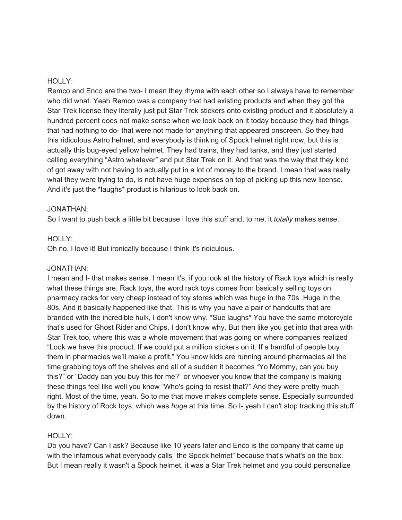#### HOLLY:

Remco and Enco are the two- I mean they rhyme with each other so I always have to remember who did what. Yeah Remco was a company that had existing products and when they got the Star Trek license they literally just put Star Trek stickers onto existing product and it absolutely a hundred percent does not make sense when we look back on it today because they had things that had nothing to do- that were not made for anything that appeared onscreen. So they had this ridiculous Astro helmet, and everybody is thinking of Spock helmet right now, but this is actually this bug-eyed yellow helmet. They had trains, they had tanks, and they just started calling everything "Astro whatever" and put Star Trek on it. And that was the way that they kind of got away with not having to actually put in a lot of money to the brand. I mean that was really what they were trying to do, is not have huge expenses on top of picking up this new license. And it's just the \*laughs\* product is hilarious to look back on.

#### JONATHAN:

So I want to push back a little bit because I love this stuff and, to me, it *totally* makes sense.

#### HOLLY:

Oh no, I love it! But ironically because I think it's ridiculous.

#### JONATHAN:

I mean and I- that makes sense. I mean it's, if you look at the history of Rack toys which is really what these things are. Rack toys, the word rack toys comes from basically selling toys on pharmacy racks for very cheap instead of toy stores which was huge in the 70s. Huge in the 80s. And it basically happened like that. This is why you have a pair of handcuffs that are branded with the incredible hulk, I don't know why. \*Sue laughs\* You have the same motorcycle that's used for Ghost Rider and Chips, I don't know why. But then like you get into that area with Star Trek too, where this was a whole movement that was going on where companies realized "Look we have this product. If we could put a million stickers on it. If a handful of people buy them in pharmacies we'll make a profit." You know kids are running around pharmacies all the time grabbing toys off the shelves and all of a sudden it becomes "Yo Mommy, can you buy this?" or "Daddy can you buy this for me?" or whoever you know that the company is making these things feel like well you know "Who's going to resist that?" And they were pretty much right. Most of the time, yeah. So to me that move makes complete sense. Especially surrounded by the history of Rock toys, which was *huge* at this time. So I- yeah I can't stop tracking this stuff down.

#### HOLLY:

Do you have? Can I ask? Because like 10 years later and Enco is the company that came up with the infamous what everybody calls "the Spock helmet" because that's what's on the box. But I mean really it wasn't a Spock helmet, it was a Star Trek helmet and you could personalize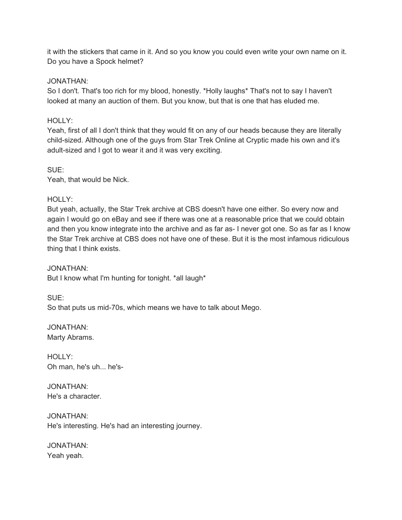it with the stickers that came in it. And so you know you could even write your own name on it. Do you have a Spock helmet?

### JONATHAN:

So I don't. That's too rich for my blood, honestly. \*Holly laughs\* That's not to say I haven't looked at many an auction of them. But you know, but that is one that has eluded me.

### HOLLY:

Yeah, first of all I don't think that they would fit on any of our heads because they are literally child-sized. Although one of the guys from Star Trek Online at Cryptic made his own and it's adult-sized and I got to wear it and it was very exciting.

SUE: Yeah, that would be Nick.

### HOLLY:

But yeah, actually, the Star Trek archive at CBS doesn't have one either. So every now and again I would go on eBay and see if there was one at a reasonable price that we could obtain and then you know integrate into the archive and as far as- I never got one. So as far as I know the Star Trek archive at CBS does not have one of these. But it is the most infamous ridiculous thing that I think exists.

JONATHAN: But I know what I'm hunting for tonight. \*all laugh\*

SUE: So that puts us mid-70s, which means we have to talk about Mego.

JONATHAN: Marty Abrams.

HOLLY: Oh man, he's uh... he's-

JONATHAN: He's a character.

JONATHAN: He's interesting. He's had an interesting journey.

JONATHAN: Yeah yeah.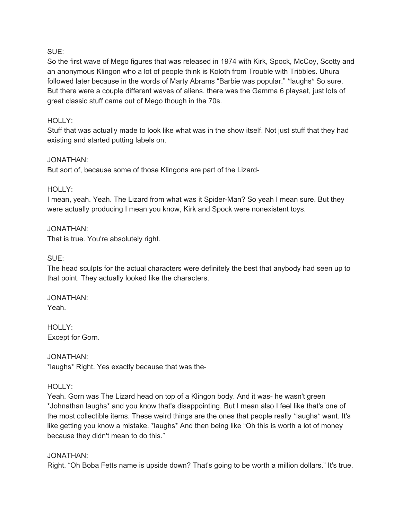### SUE:

So the first wave of Mego figures that was released in 1974 with Kirk, Spock, McCoy, Scotty and an anonymous Klingon who a lot of people think is Koloth from Trouble with Tribbles. Uhura followed later because in the words of Marty Abrams "Barbie was popular." \*laughs\* So sure. But there were a couple different waves of aliens, there was the Gamma 6 playset, just lots of great classic stuff came out of Mego though in the 70s.

### HOLLY:

Stuff that was actually made to look like what was in the show itself. Not just stuff that they had existing and started putting labels on.

#### JONATHAN:

But sort of, because some of those Klingons are part of the Lizard-

### HOLLY:

I mean, yeah. Yeah. The Lizard from what was it Spider-Man? So yeah I mean sure. But they were actually producing I mean you know, Kirk and Spock were nonexistent toys.

# JONATHAN:

That is true. You're absolutely right.

SUE:

The head sculpts for the actual characters were definitely the best that anybody had seen up to that point. They actually looked like the characters.

#### JONATHAN: Yeah.

HOLLY: Except for Gorn.

JONATHAN: \*laughs\* Right. Yes exactly because that was the-

### HOLLY:

Yeah. Gorn was The Lizard head on top of a Klingon body. And it was- he wasn't green \*Johnathan laughs\* and you know that's disappointing. But I mean also I feel like that's one of the most collectible items. These weird things are the ones that people really \*laughs\* want. It's like getting you know a mistake. \*laughs\* And then being like "Oh this is worth a lot of money because they didn't mean to do this."

#### JONATHAN:

Right. "Oh Boba Fetts name is upside down? That's going to be worth a million dollars." It's true.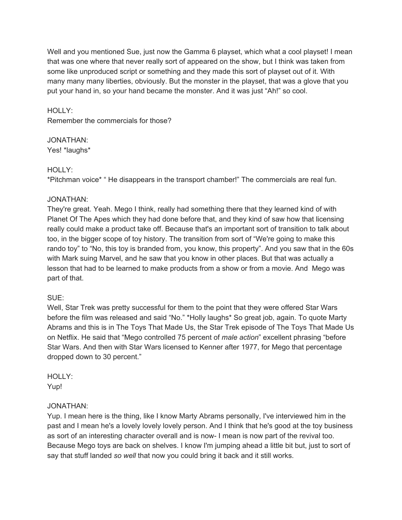Well and you mentioned Sue, just now the Gamma 6 playset, which what a cool playset! I mean that was one where that never really sort of appeared on the show, but I think was taken from some like unproduced script or something and they made this sort of playset out of it. With many many many liberties, obviously. But the monster in the playset, that was a glove that you put your hand in, so your hand became the monster. And it was just "Ah!" so cool.

HOLLY: Remember the commercials for those?

### JONATHAN:

Yes! \*laughs\*

### HOLLY:

\*Pitchman voice\* " He disappears in the transport chamber!" The commercials are real fun.

### JONATHAN:

They're great. Yeah. Mego I think, really had something there that they learned kind of with Planet Of The Apes which they had done before that, and they kind of saw how that licensing really could make a product take off. Because that's an important sort of transition to talk about too, in the bigger scope of toy history. The transition from sort of "We're going to make this rando toy" to "No, this toy is branded from, you know, this property". And you saw that in the 60s with Mark suing Marvel, and he saw that you know in other places. But that was actually a lesson that had to be learned to make products from a show or from a movie. And Mego was part of that.

### SUE:

Well, Star Trek was pretty successful for them to the point that they were offered Star Wars before the film was released and said "No." \*Holly laughs\* So great job, again. To quote Marty Abrams and this is in The Toys That Made Us, the Star Trek episode of The Toys That Made Us on Netflix. He said that "Mego controlled 75 percent of *male action*" excellent phrasing "before Star Wars. And then with Star Wars licensed to Kenner after 1977, for Mego that percentage dropped down to 30 percent."

## HOLLY:

Yup!

### JONATHAN:

Yup. I mean here is the thing, like I know Marty Abrams personally, I've interviewed him in the past and I mean he's a lovely lovely lovely person. And I think that he's good at the toy business as sort of an interesting character overall and is now- I mean is now part of the revival too. Because Mego toys are back on shelves. I know I'm jumping ahead a little bit but, just to sort of say that stuff landed *so well* that now you could bring it back and it still works.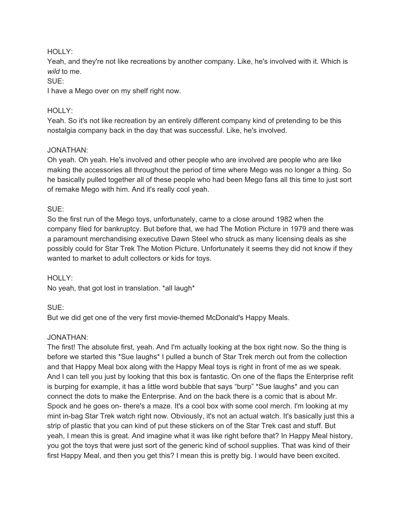### HOLLY:

Yeah, and they're not like recreations by another company. Like, he's involved with it. Which is *wild* to me.

### SUE:

I have a Mego over on my shelf right now.

### HOLLY:

Yeah. So it's not like recreation by an entirely different company kind of pretending to be this nostalgia company back in the day that was successful. Like, he's involved.

### JONATHAN:

Oh yeah. Oh yeah. He's involved and other people who are involved are people who are like making the accessories all throughout the period of time where Mego was no longer a thing. So he basically pulled together all of these people who had been Mego fans all this time to just sort of remake Mego with him. And it's really cool yeah.

#### SUE:

So the first run of the Mego toys, unfortunately, came to a close around 1982 when the company filed for bankruptcy. But before that, we had The Motion Picture in 1979 and there was a paramount merchandising executive Dawn Steel who struck as many licensing deals as she possibly could for Star Trek The Motion Picture. Unfortunately it seems they did not know if they wanted to market to adult collectors or kids for toys.

#### HOLLY:

No yeah, that got lost in translation. \*all laugh\*

### SUE:

But we did get one of the very first movie-themed McDonald's Happy Meals.

### JONATHAN:

The first! The absolute first, yeah. And I'm actually looking at the box right now. So the thing is before we started this \*Sue laughs\* I pulled a bunch of Star Trek merch out from the collection and that Happy Meal box along with the Happy Meal toys is right in front of me as we speak. And I can tell you just by looking that this box is fantastic. On one of the flaps the Enterprise refit is burping for example, it has a little word bubble that says "burp" \*Sue laughs\* and you can connect the dots to make the Enterprise. And on the back there is a comic that is about Mr. Spock and he goes on- there's a maze. It's a cool box with some cool merch. I'm looking at my mint in-bag Star Trek watch right now. Obviously, it's not an actual watch. It's basically just this a strip of plastic that you can kind of put these stickers on of the Star Trek cast and stuff. But yeah, I mean this is great. And imagine what it was like right before that? In Happy Meal history, you got the toys that were just sort of the generic kind of school supplies. That was kind of their first Happy Meal, and then you get this? I mean this is pretty big. I would have been excited.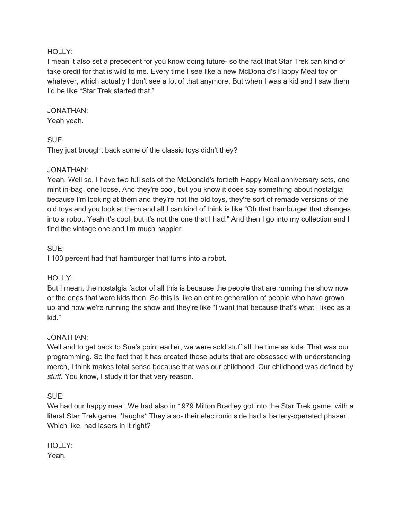#### HOLLY:

I mean it also set a precedent for you know doing future- so the fact that Star Trek can kind of take credit for that is wild to me. Every time I see like a new McDonald's Happy Meal toy or whatever, which actually I don't see a lot of that anymore. But when I was a kid and I saw them I'd be like "Star Trek started that."

#### JONATHAN:

Yeah yeah.

### SUE:

They just brought back some of the classic toys didn't they?

### JONATHAN:

Yeah. Well so, I have two full sets of the McDonald's fortieth Happy Meal anniversary sets, one mint in-bag, one loose. And they're cool, but you know it does say something about nostalgia because I'm looking at them and they're not the old toys, they're sort of remade versions of the old toys and you look at them and all I can kind of think is like "Oh that hamburger that changes into a robot. Yeah it's cool, but it's not the one that I had." And then I go into my collection and I find the vintage one and I'm much happier.

### SUE:

I 100 percent had that hamburger that turns into a robot.

### HOLLY:

But I mean, the nostalgia factor of all this is because the people that are running the show now or the ones that were kids then. So this is like an entire generation of people who have grown up and now we're running the show and they're like "I want that because that's what I liked as a kid."

### JONATHAN:

Well and to get back to Sue's point earlier, we were sold stuff all the time as kids. That was our programming. So the fact that it has created these adults that are obsessed with understanding merch, I think makes total sense because that was our childhood. Our childhood was defined by *stuff.* You know, I study it for that very reason.

SUE:

We had our happy meal. We had also in 1979 Milton Bradley got into the Star Trek game, with a literal Star Trek game. \*laughs\* They also- their electronic side had a battery-operated phaser. Which like, had lasers in it right?

HOLLY: Yeah.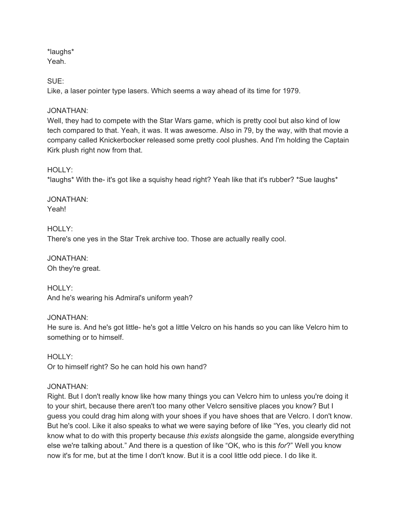\*laughs\* Yeah.

SUE:

Like, a laser pointer type lasers. Which seems a way ahead of its time for 1979.

### JONATHAN:

Well, they had to compete with the Star Wars game, which is pretty cool but also kind of low tech compared to that. Yeah, it was. It was awesome. Also in 79, by the way, with that movie a company called Knickerbocker released some pretty cool plushes. And I'm holding the Captain Kirk plush right now from that.

### HOLLY:

\*laughs\* With the- it's got like a squishy head right? Yeah like that it's rubber? \*Sue laughs\*

JONATHAN: Yeah!

HOLLY: There's one yes in the Star Trek archive too. Those are actually really cool.

JONATHAN: Oh they're great.

HOLLY: And he's wearing his Admiral's uniform yeah?

### JONATHAN:

He sure is. And he's got little- he's got a little Velcro on his hands so you can like Velcro him to something or to himself.

HOLLY: Or to himself right? So he can hold his own hand?

### JONATHAN:

Right. But I don't really know like how many things you can Velcro him to unless you're doing it to your shirt, because there aren't too many other Velcro sensitive places you know? But I guess you could drag him along with your shoes if you have shoes that are Velcro. I don't know. But he's cool. Like it also speaks to what we were saying before of like "Yes, you clearly did not know what to do with this property because *this exists* alongside the game, alongside everything else we're talking about." And there is a question of like "OK, who is this *for*?" Well you know now it's for me, but at the time I don't know. But it is a cool little odd piece. I do like it.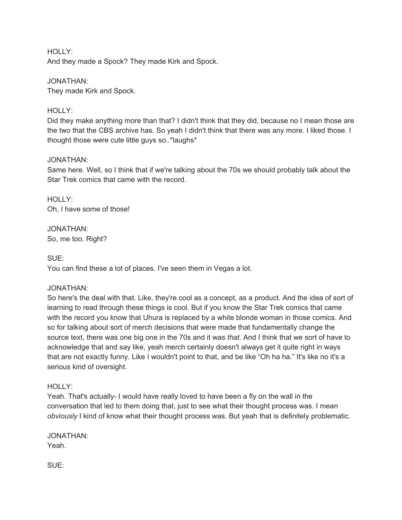HOLLY: And they made a Spock? They made Kirk and Spock.

JONATHAN: They made Kirk and Spock.

### HOLLY:

Did they make anything more than that? I didn't think that they did, because no I mean those are the two that the CBS archive has. So yeah I didn't think that there was any more. I liked those. I thought those were cute little guys so..\*laughs\*

### JONATHAN:

Same here. Well, so I think that if we're talking about the 70s we should probably talk about the Star Trek comics that came with the record.

HOLLY: Oh, I have some of those!

JONATHAN: So, me too. Right?

SUE:

You can find these a lot of places. I've seen them in Vegas a lot.

### JONATHAN:

So here's the deal with that. Like, they're cool as a concept, as a product. And the idea of sort of learning to read through these things is cool. But if you know the Star Trek comics that came with the record you know that Uhura is replaced by a white blonde woman in those comics. And so for talking about sort of merch decisions that were made that fundamentally change the source text, there was one big one in the 70s and it was *that*. And I think that we sort of have to acknowledge that and say like, yeah merch certainly doesn't always get it quite right in ways that are not exactly funny. Like I wouldn't point to that, and be like "Oh ha ha." It's like no it's a serious kind of oversight.

### HOLLY:

Yeah. That's actually- I would have really loved to have been a fly on the wall in the conversation that led to them doing that, just to see what their thought process was. I mean *obviously* I kind of know what their thought process was. But yeah that is definitely problematic.

JONATHAN: Yeah.

SUE: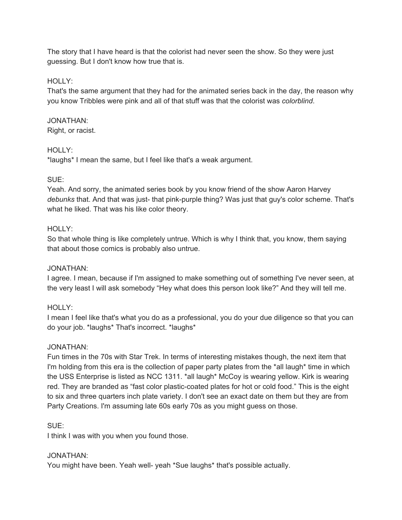The story that I have heard is that the colorist had never seen the show. So they were just guessing. But I don't know how true that is.

### HOLLY:

That's the same argument that they had for the animated series back in the day, the reason why you know Tribbles were pink and all of that stuff was that the colorist was *colorblind*.

### JONATHAN:

Right, or racist.

### HOLLY:

\*laughs\* I mean the same, but I feel like that's a weak argument.

### SUE:

Yeah. And sorry, the animated series book by you know friend of the show Aaron Harvey *debunks* that. And that was just- that pink-purple thing? Was just that guy's color scheme. That's what he liked. That was his like color theory.

### HOLLY:

So that whole thing is like completely untrue. Which is why I think that, you know, them saying that about those comics is probably also untrue.

### JONATHAN:

I agree. I mean, because if I'm assigned to make something out of something I've never seen, at the very least I will ask somebody "Hey what does this person look like?" And they will tell me.

### HOLLY:

I mean I feel like that's what you do as a professional, you do your due diligence so that you can do your job. \*laughs\* That's incorrect. \*laughs\*

### JONATHAN:

Fun times in the 70s with Star Trek. In terms of interesting mistakes though, the next item that I'm holding from this era is the collection of paper party plates from the \*all laugh\* time in which the USS Enterprise is listed as NCC 1311. \*all laugh\* McCoy is wearing yellow. Kirk is wearing red. They are branded as "fast color plastic-coated plates for hot or cold food." This is the eight to six and three quarters inch plate variety. I don't see an exact date on them but they are from Party Creations. I'm assuming late 60s early 70s as you might guess on those.

SUE:

I think I was with you when you found those.

### JONATHAN:

You might have been. Yeah well- yeah \*Sue laughs\* that's possible actually.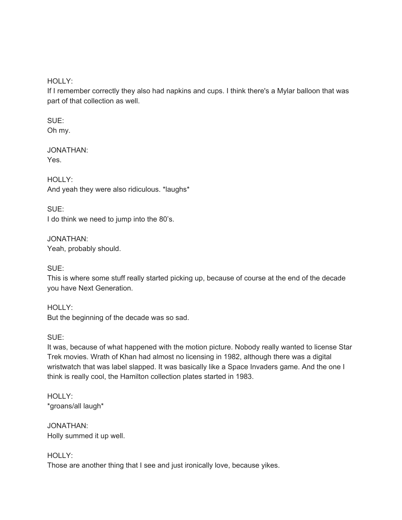HOLLY:

If I remember correctly they also had napkins and cups. I think there's a Mylar balloon that was part of that collection as well.

SUE: Oh my.

JONATHAN: Yes.

HOLLY: And yeah they were also ridiculous. \*laughs\*

SUE: I do think we need to jump into the 80's.

JONATHAN: Yeah, probably should.

SUE:

This is where some stuff really started picking up, because of course at the end of the decade you have Next Generation.

HOLLY: But the beginning of the decade was so sad.

SUE:

It was, because of what happened with the motion picture. Nobody really wanted to license Star Trek movies. Wrath of Khan had almost no licensing in 1982, although there was a digital wristwatch that was label slapped. It was basically like a Space Invaders game. And the one I think is really cool, the Hamilton collection plates started in 1983.

HOLLY: \*groans/all laugh\*

JONATHAN: Holly summed it up well.

HOLLY:

Those are another thing that I see and just ironically love, because yikes.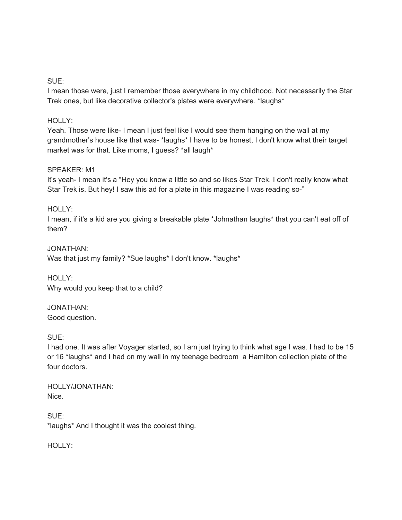#### SUE:

I mean those were, just I remember those everywhere in my childhood. Not necessarily the Star Trek ones, but like decorative collector's plates were everywhere. \*laughs\*

### HOLLY:

Yeah. Those were like- I mean I just feel like I would see them hanging on the wall at my grandmother's house like that was-\*laughs\* I have to be honest, I don't know what their target market was for that. Like moms, I guess? \*all laugh\*

#### SPEAKER: M1

It's yeah- I mean it's a "Hey you know a little so and so likes Star Trek. I don't really know what Star Trek is. But hey! I saw this ad for a plate in this magazine I was reading so-"

#### HOLLY:

I mean, if it's a kid are you giving a breakable plate \*Johnathan laughs\* that you can't eat off of them?

JONATHAN: Was that just my family? \*Sue laughs\* I don't know. \*laughs\*

HOLLY: Why would you keep that to a child?

JONATHAN: Good question.

SUE:

I had one. It was after Voyager started, so I am just trying to think what age I was. I had to be 15 or 16 \*laughs\* and I had on my wall in my teenage bedroom a Hamilton collection plate of the four doctors.

HOLLY/JONATHAN: Nice.

SUE: \*laughs\* And I thought it was the coolest thing.

HOLLY: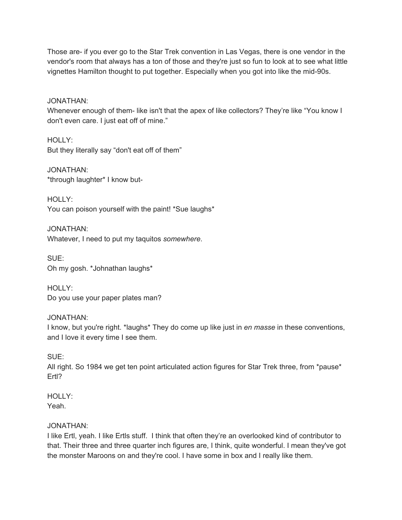Those are- if you ever go to the Star Trek convention in Las Vegas, there is one vendor in the vendor's room that always has a ton of those and they're just so fun to look at to see what little vignettes Hamilton thought to put together. Especially when you got into like the mid-90s.

JONATHAN:

Whenever enough of them- like isn't that the apex of like collectors? They're like "You know I don't even care. I just eat off of mine."

HOLLY: But they literally say "don't eat off of them"

JONATHAN: \*through laughter\* I know but-

HOLLY: You can poison yourself with the paint! \*Sue laughs\*

JONATHAN: Whatever, I need to put my taquitos *somewhere*.

SUE: Oh my gosh. \*Johnathan laughs\*

HOLLY: Do you use your paper plates man?

JONATHAN: I know, but you're right. \*laughs\* They do come up like just in *en masse* in these conventions, and I love it every time I see them.

SUE:

All right. So 1984 we get ten point articulated action figures for Star Trek three, from \*pause\* Ertl?

HOLLY: Yeah.

### JONATHAN:

I like Ertl, yeah. I like Ertls stuff. I think that often they're an overlooked kind of contributor to that. Their three and three quarter inch figures are, I think, quite wonderful. I mean they've got the monster Maroons on and they're cool. I have some in box and I really like them.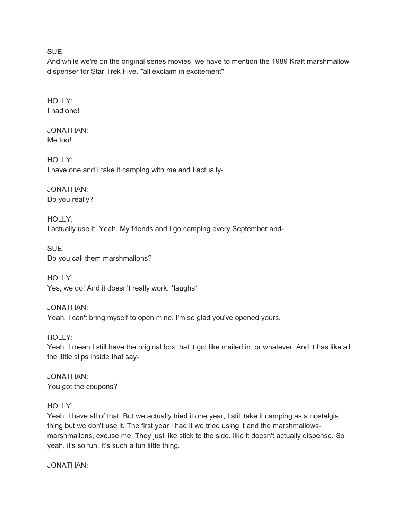SUE:

And while we're on the original series movies, we have to mention the 1989 Kraft marshmallow dispenser for Star Trek Five. \*all exclaim in excitement\*

HOLLY: I had one!

JONATHAN: Me too!

HOLLY: I have one and I take it camping with me and I actually-

JONATHAN: Do you really?

HOLLY: I actually use it. Yeah. My friends and I go camping every September and-

SUE: Do you call them marshmallons?

HOLLY: Yes, we do! And it doesn't really work. \*laughs\*

JONATHAN: Yeah. I can't bring myself to open mine. I'm so glad you've opened yours.

HOLLY: Yeah. I mean I still have the original box that it got like mailed in, or whatever. And it has like all the little slips inside that say-

JONATHAN: You got the coupons?

HOLLY:

Yeah, I have all of that. But we actually tried it one year, I still take it camping as a nostalgia thing but we don't use it. The first year I had it we tried using it and the marshmallowsmarshmallons, excuse me. They just like stick to the side, like it doesn't actually dispense. So yeah, it's so fun. It's such a fun little thing.

JONATHAN: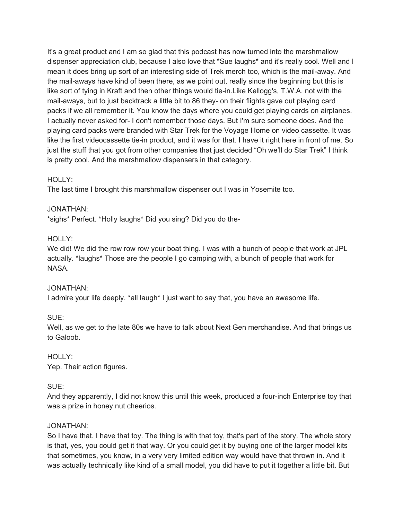It's a great product and I am so glad that this podcast has now turned into the marshmallow dispenser appreciation club, because I also love that \*Sue laughs\* and it's really cool. Well and I mean it does bring up sort of an interesting side of Trek merch too, which is the mail-away. And the mail-aways have kind of been there, as we point out, really since the beginning but this is like sort of tying in Kraft and then other things would tie-in.Like Kellogg's, T.W.A. not with the mail-aways, but to just backtrack a little bit to 86 they- on their flights gave out playing card packs if we all remember it. You know the days where you could get playing cards on airplanes. I actually never asked for- I don't remember those days. But I'm sure someone does. And the playing card packs were branded with Star Trek for the Voyage Home on video cassette. It was like the first videocassette tie-in product, and it was for that. I have it right here in front of me. So just the stuff that you got from other companies that just decided "Oh we'll do Star Trek" I think is pretty cool. And the marshmallow dispensers in that category.

#### HOLLY:

The last time I brought this marshmallow dispenser out I was in Yosemite too.

#### JONATHAN:

\*sighs\* Perfect. \*Holly laughs\* Did you sing? Did you do the-

#### HOLLY:

We did! We did the row row row your boat thing. I was with a bunch of people that work at JPL actually. \*laughs\* Those are the people I go camping with, a bunch of people that work for NASA.

#### JONATHAN:

I admire your life deeply. \*all laugh\* I just want to say that, you have an awesome life.

SUE:

Well, as we get to the late 80s we have to talk about Next Gen merchandise. And that brings us to Galoob.

### HOLLY:

Yep. Their action figures.

### SUE:

And they apparently, I did not know this until this week, produced a four-inch Enterprise toy that was a prize in honey nut cheerios.

#### JONATHAN:

So I have that. I have that toy. The thing is with that toy, that's part of the story. The whole story is that, yes, you could get it that way. Or you could get it by buying one of the larger model kits that sometimes, you know, in a very very limited edition way would have that thrown in. And it was actually technically like kind of a small model, you did have to put it together a little bit. But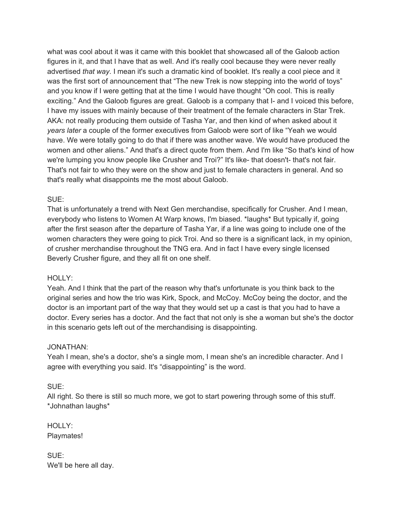what was cool about it was it came with this booklet that showcased all of the Galoob action figures in it, and that I have that as well. And it's really cool because they were never really advertised *that way*. I mean it's such a dramatic kind of booklet. It's really a cool piece and it was the first sort of announcement that "The new Trek is now stepping into the world of toys" and you know if I were getting that at the time I would have thought "Oh cool. This is really exciting." And the Galoob figures are great. Galoob is a company that I- and I voiced this before, I have my issues with mainly because of their treatment of the female characters in Star Trek. AKA: not really producing them outside of Tasha Yar, and then kind of when asked about it *years later* a couple of the former executives from Galoob were sort of like "Yeah we would have. We were totally going to do that if there was another wave. We would have produced the women and other aliens." And that's a direct quote from them. And I'm like "So that's kind of how we're lumping you know people like Crusher and Troi?" It's like- that doesn't- that's not fair. That's not fair to who they were on the show and just to female characters in general. And so that's really what disappoints me the most about Galoob.

### SUE:

That is unfortunately a trend with Next Gen merchandise, specifically for Crusher. And I mean, everybody who listens to Women At Warp knows, I'm biased. \*laughs\* But typically if, going after the first season after the departure of Tasha Yar, if a line was going to include one of the women characters they were going to pick Troi. And so there is a significant lack, in my opinion, of crusher merchandise throughout the TNG era. And in fact I have every single licensed Beverly Crusher figure, and they all fit on one shelf.

### HOLLY:

Yeah. And I think that the part of the reason why that's unfortunate is you think back to the original series and how the trio was Kirk, Spock, and McCoy. McCoy being the doctor, and the doctor is an important part of the way that they would set up a cast is that you had to have a doctor. Every series has a doctor. And the fact that not only is she a woman but she's the doctor in this scenario gets left out of the merchandising is disappointing.

#### JONATHAN:

Yeah I mean, she's a doctor, she's a single mom, I mean she's an incredible character. And I agree with everything you said. It's "disappointing" is the word.

### SUE:

All right. So there is still so much more, we got to start powering through some of this stuff. \*Johnathan laughs\*

HOLLY: Playmates!

SUE: We'll be here all day.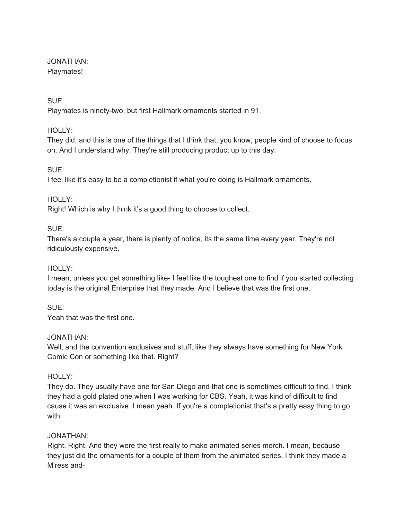#### JONATHAN: Playmates!

### SUE:

Playmates is ninety-two, but first Hallmark ornaments started in 91.

### HOLLY:

They did, and this is one of the things that I think that, you know, people kind of choose to focus on. And I understand why. They're still producing product up to this day.

### SUE:

I feel like it's easy to be a completionist if what you're doing is Hallmark ornaments.

### HOLLY:

Right! Which is why I think it's a good thing to choose to collect.

### SUE:

There's a couple a year, there is plenty of notice, its the same time every year. They're not ridiculously expensive.

### HOLLY:

I mean, unless you get something like- I feel like the toughest one to find if you started collecting today is the original Enterprise that they made. And I believe that was the first one.

SUE: Yeah that was the first one.

### JONATHAN:

Well, and the convention exclusives and stuff, like they always have something for New York Comic Con or something like that. Right?

### HOLLY:

They do. They usually have one for San Diego and that one is sometimes difficult to find. I think they had a gold plated one when I was working for CBS. Yeah, it was kind of difficult to find cause it was an exclusive. I mean yeah. If you're a completionist that's a pretty easy thing to go with.

### JONATHAN:

Right. Right. And they were the first really to make animated series merch. I mean, because they just did the ornaments for a couple of them from the animated series. I think they made a M'ress and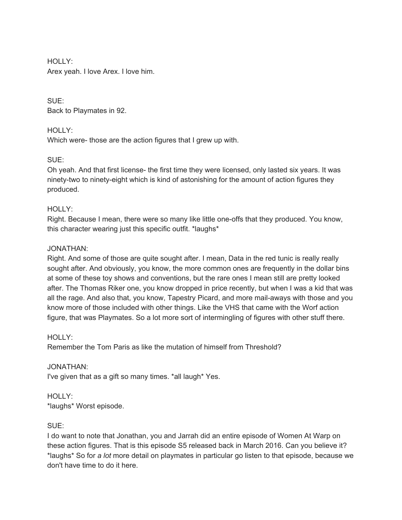HOLLY: Arex yeah. I love Arex. I love him.

SUE: Back to Playmates in 92.

### HOLLY:

Which were- those are the action figures that I grew up with.

### SUE:

Oh yeah. And that first license- the first time they were licensed, only lasted six years. It was ninety-two to ninety-eight which is kind of astonishing for the amount of action figures they produced.

### HOLLY:

Right. Because I mean, there were so many like little one-offs that they produced. You know, this character wearing just this specific outfit. \*laughs\*

### JONATHAN:

Right. And some of those are quite sought after. I mean, Data in the red tunic is really really sought after. And obviously, you know, the more common ones are frequently in the dollar bins at some of these toy shows and conventions, but the rare ones I mean still are pretty looked after. The Thomas Riker one, you know dropped in price recently, but when I was a kid that was all the rage. And also that, you know, Tapestry Picard, and more mail-aways with those and you know more of those included with other things. Like the VHS that came with the Worf action figure, that was Playmates. So a lot more sort of intermingling of figures with other stuff there.

### HOLLY:

Remember the Tom Paris as like the mutation of himself from Threshold?

### JONATHAN:

I've given that as a gift so many times. \*all laugh\* Yes.

### HOLLY: \*laughs\* Worst episode.

### SUE:

I do want to note that Jonathan, you and Jarrah did an entire episode of Women At Warp on these action figures. That is this episode S5 released back in March 2016. Can you believe it? \*laughs\* So for *a lot* more detail on playmates in particular go listen to that episode, because we don't have time to do it here.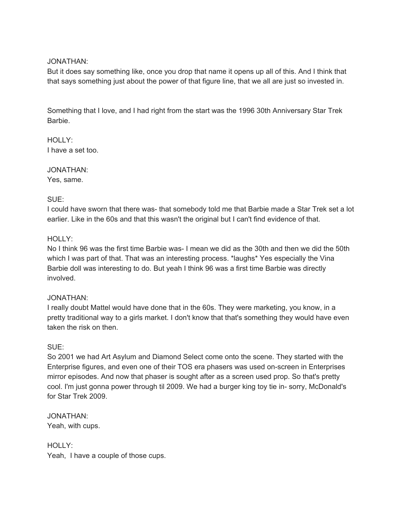#### JONATHAN:

But it does say something like, once you drop that name it opens up all of this. And I think that that says something just about the power of that figure line, that we all are just so invested in.

Something that I love, and I had right from the start was the 1996 30th Anniversary Star Trek Barbie.

HOLLY: I have a set too.

JONATHAN: Yes, same.

### SUE:

I could have sworn that there was- that somebody told me that Barbie made a Star Trek set a lot earlier. Like in the 60s and that this wasn't the original but I can't find evidence of that.

#### HOLLY:

No I think 96 was the first time Barbie was- I mean we did as the 30th and then we did the 50th which I was part of that. That was an interesting process. \*laughs\* Yes especially the Vina Barbie doll was interesting to do. But yeah I think 96 was a first time Barbie was directly involved.

#### JONATHAN:

I really doubt Mattel would have done that in the 60s. They were marketing, you know, in a pretty traditional way to a girls market. I don't know that that's something they would have even taken the risk on then.

### SUE:

So 2001 we had Art Asylum and Diamond Select come onto the scene. They started with the Enterprise figures, and even one of their TOS era phasers was used on-screen in Enterprises mirror episodes. And now that phaser is sought after as a screen used prop. So that's pretty cool. I'm just gonna power through til 2009. We had a burger king toy tie in- sorry, McDonald's for Star Trek 2009.

JONATHAN: Yeah, with cups.

HOLLY: Yeah, I have a couple of those cups.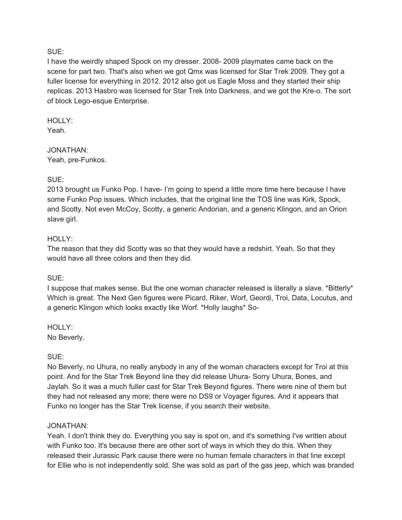#### SUE:

I have the weirdly shaped Spock on my dresser. 2008- 2009 playmates came back on the scene for part two. That's also when we got Qmx was licensed for Star Trek 2009. They got a fuller license for everything in 2012. 2012 also got us Eagle Moss and they started their ship replicas. 2013 Hasbro was licensed for Star Trek Into Darkness, and we got the Kre-o. The sort of block Lego-esque Enterprise.

HOLLY: Yeah.

JONATHAN: Yeah, pre-Funkos.

#### SUE:

2013 brought us Funko Pop. I have- I'm going to spend a little more time here because I have some Funko Pop issues. Which includes, that the original line the TOS line was Kirk, Spock, and Scotty. Not even McCoy, Scotty, a generic Andorian, and a generic Klingon, and an Orion slave girl.

#### HOLLY:

The reason that they did Scotty was so that they would have a redshirt. Yeah. So that they would have all three colors and then they did.

#### SUE:

I suppose that makes sense. But the one woman character released is literally a slave. \*Bitterly\* Which is great. The Next Gen figures were Picard, Riker, Worf, Geordi, Troi, Data, Locutus, and a generic Klingon which looks exactly like Worf. \*Holly laughs\* So-

HOLLY: No Beverly.

#### SUE:

No Beverly, no Uhura, no really anybody in any of the woman characters except for Troi at this point. And for the Star Trek Beyond line they did release Uhura- Sorry Uhura, Bones, and Jaylah. So it was a much fuller cast for Star Trek Beyond figures. There were nine of them but they had not released any more; there were no DS9 or Voyager figures. And it appears that Funko no longer has the Star Trek license, if you search their website.

#### JONATHAN:

Yeah. I don't think they do. Everything you say is spot on, and it's something I've written about with Funko too. It's because there are other sort of ways in which they do this. When they released their Jurassic Park cause there were no human female characters in that line except for Ellie who is not independently sold. She was sold as part of the gas jeep, which was branded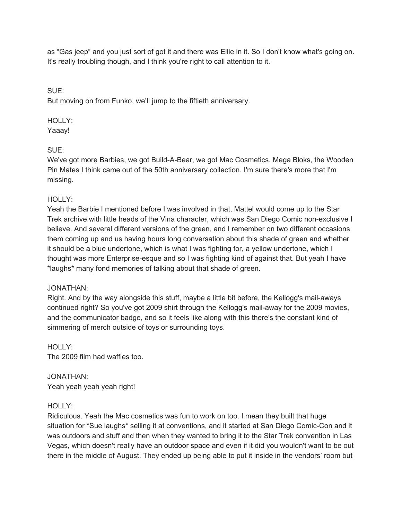as "Gas jeep" and you just sort of got it and there was Ellie in it. So I don't know what's going on. It's really troubling though, and I think you're right to call attention to it.

SUE: But moving on from Funko, we'll jump to the fiftieth anniversary.

### HOLLY:

Yaaay!

### SUE:

We've got more Barbies, we got Build-A-Bear, we got Mac Cosmetics. Mega Bloks, the Wooden Pin Mates I think came out of the 50th anniversary collection. I'm sure there's more that I'm missing.

### HOLLY:

Yeah the Barbie I mentioned before I was involved in that, Mattel would come up to the Star Trek archive with little heads of the Vina character, which was San Diego Comic non-exclusive I believe. And several different versions of the green, and I remember on two different occasions them coming up and us having hours long conversation about this shade of green and whether it should be a blue undertone, which is what I was fighting for, a yellow undertone, which I thought was more Enterprise-esque and so I was fighting kind of against that. But yeah I have \*laughs\* many fond memories of talking about that shade of green.

### JONATHAN:

Right. And by the way alongside this stuff, maybe a little bit before, the Kellogg's mail-aways continued right? So you've got 2009 shirt through the Kellogg's mail-away for the 2009 movies, and the communicator badge, and so it feels like along with this there's the constant kind of simmering of merch outside of toys or surrounding toys.

#### HOLLY: The 2009 film had waffles too.

JONATHAN: Yeah yeah yeah yeah right!

### HOLLY:

Ridiculous. Yeah the Mac cosmetics was fun to work on too. I mean they built that huge situation for \*Sue laughs\* selling it at conventions, and it started at San Diego Comic-Con and it was outdoors and stuff and then when they wanted to bring it to the Star Trek convention in Las Vegas, which doesn't really have an outdoor space and even if it did you wouldn't want to be out there in the middle of August. They ended up being able to put it inside in the vendors' room but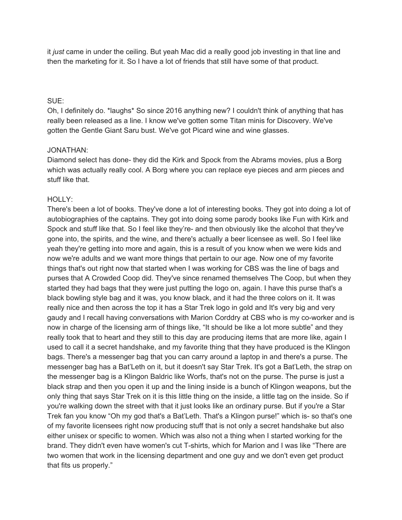it *just* came in under the ceiling. But yeah Mac did a really good job investing in that line and then the marketing for it. So I have a lot of friends that still have some of that product.

### SUE:

Oh, I definitely do. \*laughs\* So since 2016 anything new? I couldn't think of anything that has really been released as a line. I know we've gotten some Titan minis for Discovery. We've gotten the Gentle Giant Saru bust. We've got Picard wine and wine glasses.

#### JONATHAN:

Diamond select has done- they did the Kirk and Spock from the Abrams movies, plus a Borg which was actually really cool. A Borg where you can replace eye pieces and arm pieces and stuff like that.

#### HOLLY:

There's been a lot of books. They've done a lot of interesting books. They got into doing a lot of autobiographies of the captains. They got into doing some parody books like Fun with Kirk and Spock and stuff like that. So I feel like they're- and then obviously like the alcohol that they've gone into, the spirits, and the wine, and there's actually a beer licensee as well. So I feel like yeah they're getting into more and again, this is a result of you know when we were kids and now we're adults and we want more things that pertain to our age. Now one of my favorite things that's out right now that started when I was working for CBS was the line of bags and purses that A Crowded Coop did. They've since renamed themselves The Coop, but when they started they had bags that they were just putting the logo on, again. I have this purse that's a black bowling style bag and it was, you know black, and it had the three colors on it. It was really nice and then across the top it has a Star Trek logo in gold and It's very big and very gaudy and I recall having conversations with Marion Corddry at CBS who is my co-worker and is now in charge of the licensing arm of things like, "It should be like a lot more subtle" and they really took that to heart and they still to this day are producing items that are more like, again I used to call it a secret handshake, and my favorite thing that they have produced is the Klingon bags. There's a messenger bag that you can carry around a laptop in and there's a purse. The messenger bag has a Bat'Leth on it, but it doesn't say Star Trek. It's got a Bat'Leth, the strap on the messenger bag is a Klingon Baldric like Worfs, that's not on the purse. The purse is just a black strap and then you open it up and the lining inside is a bunch of Klingon weapons, but the only thing that says Star Trek on it is this little thing on the inside, a little tag on the inside. So if you're walking down the street with that it just looks like an ordinary purse. But if you're a Star Trek fan you know "Oh my god that's a Bat'Leth. That's a Klingon purse!" which is- so that's one of my favorite licensees right now producing stuff that is not only a secret handshake but also either unisex or specific to women. Which was also not a thing when I started working for the brand. They didn't even have women's cut T-shirts, which for Marion and I was like "There are two women that work in the licensing department and one guy and we don't even get product that fits us properly."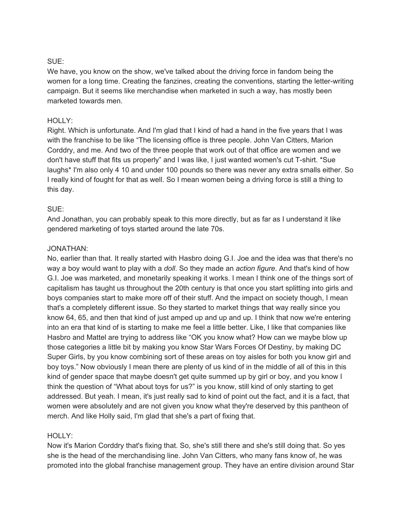### SUE:

We have, you know on the show, we've talked about the driving force in fandom being the women for a long time. Creating the fanzines, creating the conventions, starting the letter-writing campaign. But it seems like merchandise when marketed in such a way, has mostly been marketed towards men.

### HOLLY:

Right. Which is unfortunate. And I'm glad that I kind of had a hand in the five years that I was with the franchise to be like "The licensing office is three people. John Van Citters, Marion Corddry, and me. And two of the three people that work out of that office are women and we don't have stuff that fits us properly" and I was like, I just wanted women's cut T-shirt. \*Sue laughs\* I'm also only 4 10 and under 100 pounds so there was never any extra smalls either. So I really kind of fought for that as well. So I mean women being a driving force is still a thing to this day.

#### SUE:

And Jonathan, you can probably speak to this more directly, but as far as I understand it like gendered marketing of toys started around the late 70s.

#### JONATHAN:

No, earlier than that. It really started with Hasbro doing G.I. Joe and the idea was that there's no way a boy would want to play with a *doll*. So they made an *action figure*. And that's kind of how G.I. Joe was marketed, and monetarily speaking it works. I mean I think one of the things sort of capitalism has taught us throughout the 20th century is that once you start splitting into girls and boys companies start to make more off of their stuff. And the impact on society though, I mean that's a completely different issue. So they started to market things that way really since you know 64, 65, and then that kind of just amped up and up and up. I think that now we're entering into an era that kind of is starting to make me feel a little better. Like, I like that companies like Hasbro and Mattel are trying to address like "OK you know what? How can we maybe blow up those categories a little bit by making you know Star Wars Forces Of Destiny, by making DC Super Girls, by you know combining sort of these areas on toy aisles for both you know girl and boy toys." Now obviously I mean there are plenty of us kind of in the middle of all of this in this kind of gender space that maybe doesn't get quite summed up by girl or boy, and you know I think the question of "What about toys for us?" is you know, still kind of only starting to get addressed. But yeah. I mean, it's just really sad to kind of point out the fact, and it is a fact, that women were absolutely and are not given you know what they're deserved by this pantheon of merch. And like Holly said, I'm glad that she's a part of fixing that.

### HOLLY:

Now it's Marion Corddry that's fixing that. So, she's still there and she's still doing that. So yes she is the head of the merchandising line. John Van Citters, who many fans know of, he was promoted into the global franchise management group. They have an entire division around Star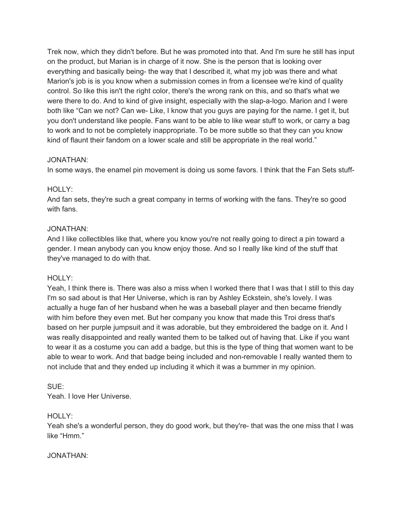Trek now, which they didn't before. But he was promoted into that. And I'm sure he still has input on the product, but Marian is in charge of it now. She is the person that is looking over everything and basically being- the way that I described it, what my job was there and what Marion's job is is you know when a submission comes in from a licensee we're kind of quality control. So like this isn't the right color, there's the wrong rank on this, and so that's what we were there to do. And to kind of give insight, especially with the slap-a-logo. Marion and I were both like "Can we not? Can we- Like, I know that you guys are paying for the name. I get it, but you don't understand like people. Fans want to be able to like wear stuff to work, or carry a bag to work and to not be completely inappropriate. To be more subtle so that they can you know kind of flaunt their fandom on a lower scale and still be appropriate in the real world."

### JONATHAN:

In some ways, the enamel pin movement is doing us some favors. I think that the Fan Sets stuff-

### HOLLY:

And fan sets, they're such a great company in terms of working with the fans. They're so good with fans.

### JONATHAN:

And I like collectibles like that, where you know you're not really going to direct a pin toward a gender. I mean anybody can you know enjoy those. And so I really like kind of the stuff that they've managed to do with that.

### HOLLY:

Yeah, I think there is. There was also a miss when I worked there that I was that I still to this day I'm so sad about is that Her Universe, which is ran by Ashley Eckstein, she's lovely. I was actually a huge fan of her husband when he was a baseball player and then became friendly with him before they even met. But her company you know that made this Troi dress that's based on her purple jumpsuit and it was adorable, but they embroidered the badge on it. And I was really disappointed and really wanted them to be talked out of having that. Like if you want to wear it as a costume you can add a badge, but this is the type of thing that women want to be able to wear to work. And that badge being included and non-removable I really wanted them to not include that and they ended up including it which it was a bummer in my opinion.

### SUE:

Yeah. I love Her Universe.

### HOLLY:

Yeah she's a wonderful person, they do good work, but they're- that was the one miss that I was like "Hmm."

### JONATHAN: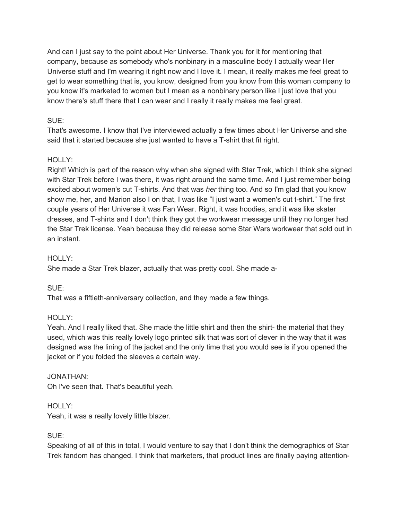And can I just say to the point about Her Universe. Thank you for it for mentioning that company, because as somebody who's nonbinary in a masculine body I actually wear Her Universe stuff and I'm wearing it right now and I love it. I mean, it really makes me feel great to get to wear something that is, you know, designed from you know from this woman company to you know it's marketed to women but I mean as a nonbinary person like I just love that you know there's stuff there that I can wear and I really it really makes me feel great.

### SUE:

That's awesome. I know that I've interviewed actually a few times about Her Universe and she said that it started because she just wanted to have a T-shirt that fit right.

### HOLLY:

Right! Which is part of the reason why when she signed with Star Trek, which I think she signed with Star Trek before I was there, it was right around the same time. And I just remember being excited about women's cut T-shirts. And that was *her* thing too. And so I'm glad that you know show me, her, and Marion also I on that, I was like "I just want a women's cut t-shirt." The first couple years of Her Universe it was Fan Wear. Right, it was hoodies, and it was like skater dresses, and T-shirts and I don't think they got the workwear message until they no longer had the Star Trek license. Yeah because they did release some Star Wars workwear that sold out in an instant.

### HOLLY:

She made a Star Trek blazer, actually that was pretty cool. She made a-

SUE:

That was a fiftieth-anniversary collection, and they made a few things.

### HOLLY:

Yeah. And I really liked that. She made the little shirt and then the shirt- the material that they used, which was this really lovely logo printed silk that was sort of clever in the way that it was designed was the lining of the jacket and the only time that you would see is if you opened the jacket or if you folded the sleeves a certain way.

### JONATHAN:

Oh I've seen that. That's beautiful yeah.

### HOLLY:

Yeah, it was a really lovely little blazer.

### SUE:

Speaking of all of this in total, I would venture to say that I don't think the demographics of Star Trek fandom has changed. I think that marketers, that product lines are finally paying attention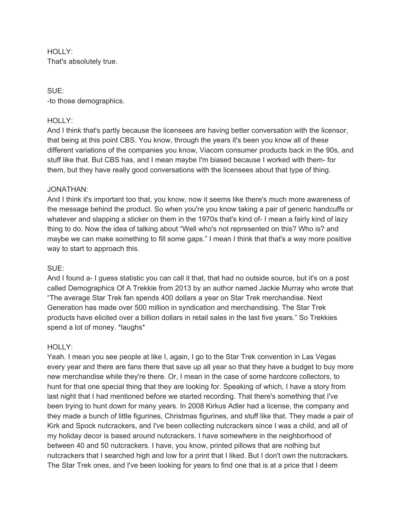HOLLY: That's absolutely true.

SUE: -to those demographics.

#### HOLLY:

And I think that's partly because the licensees are having better conversation with the licensor, that being at this point CBS. You know, through the years it's been you know all of these different variations of the companies you know, Viacom consumer products back in the 90s, and stuff like that. But CBS has, and I mean maybe I'm biased because I worked with them- for them, but they have really good conversations with the licensees about that type of thing.

#### JONATHAN:

And I think it's important too that, you know, now it seems like there's much more awareness of the message behind the product. So when you're you know taking a pair of generic handcuffs or whatever and slapping a sticker on them in the 1970s that's kind of- I mean a fairly kind of lazy thing to do. Now the idea of talking about "Well who's not represented on this? Who is? and maybe we can make something to fill some gaps." I mean I think that that's a way more positive way to start to approach this.

#### SUE:

And I found a- I guess statistic you can call it that, that had no outside source, but it's on a post called Demographics Of A Trekkie from 2013 by an author named Jackie Murray who wrote that "The average Star Trek fan spends 400 dollars a year on Star Trek merchandise. Next Generation has made over 500 million in syndication and merchandising. The Star Trek products have elicited over a billion dollars in retail sales in the last five years." So Trekkies spend a lot of money. \*laughs\*

#### HOLLY:

Yeah. I mean you see people at like I, again, I go to the Star Trek convention in Las Vegas every year and there are fans there that save up all year so that they have a budget to buy more new merchandise while they're there. Or, I mean in the case of some hardcore collectors, to hunt for that one special thing that they are looking for. Speaking of which, I have a story from last night that I had mentioned before we started recording. That there's something that I've been trying to hunt down for many years. In 2008 Kirkus Adler had a license, the company and they made a bunch of little figurines, Christmas figurines, and stuff like that. They made a pair of Kirk and Spock nutcrackers, and I've been collecting nutcrackers since I was a child, and all of my holiday decor is based around nutcrackers. I have somewhere in the neighborhood of between 40 and 50 nutcrackers. I have, you know, printed pillows that are nothing but nutcrackers that I searched high and low for a print that I liked. But I don't own the nutcrackers. The Star Trek ones, and I've been looking for years to find one that is at a price that I deem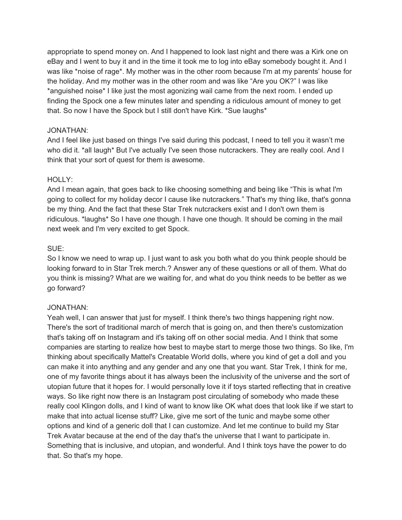appropriate to spend money on. And I happened to look last night and there was a Kirk one on eBay and I went to buy it and in the time it took me to log into eBay somebody bought it. And I was like \*noise of rage\*. My mother was in the other room because I'm at my parents' house for the holiday. And my mother was in the other room and was like "Are you OK?" I was like \*anguished noise\* I like just the most agonizing wail came from the next room. I ended up finding the Spock one a few minutes later and spending a ridiculous amount of money to get that. So now I have the Spock but I still don't have Kirk. \*Sue laughs\*

#### JONATHAN:

And I feel like just based on things I've said during this podcast, I need to tell you it wasn't me who did it. \*all laugh\* But I've actually I've seen those nutcrackers. They are really cool. And I think that your sort of quest for them is awesome.

### HOLLY:

And I mean again, that goes back to like choosing something and being like "This is what I'm going to collect for my holiday decor I cause like nutcrackers." That's my thing like, that's gonna be my thing. And the fact that these Star Trek nutcrackers exist and I don't own them is ridiculous. \*laughs\* So I have *one* though. I have one though. It should be coming in the mail next week and I'm very excited to get Spock.

#### SUE:

So I know we need to wrap up. I just want to ask you both what do you think people should be looking forward to in Star Trek merch.? Answer any of these questions or all of them. What do you think is missing? What are we waiting for, and what do you think needs to be better as we go forward?

#### JONATHAN:

Yeah well, I can answer that just for myself. I think there's two things happening right now. There's the sort of traditional march of merch that is going on, and then there's customization that's taking off on Instagram and it's taking off on other social media. And I think that some companies are starting to realize how best to maybe start to merge those two things. So like, I'm thinking about specifically Mattel's Creatable World dolls, where you kind of get a doll and you can make it into anything and any gender and any one that you want. Star Trek, I think for me, one of my favorite things about it has always been the inclusivity of the universe and the sort of utopian future that it hopes for. I would personally love it if toys started reflecting that in creative ways. So like right now there is an Instagram post circulating of somebody who made these really cool Klingon dolls, and I kind of want to know like OK what does that look like if we start to make that into actual license stuff? Like, give me sort of the tunic and maybe some other options and kind of a generic doll that I can customize. And let me continue to build my Star Trek Avatar because at the end of the day that's the universe that I want to participate in. Something that is inclusive, and utopian, and wonderful. And I think toys have the power to do that. So that's my hope.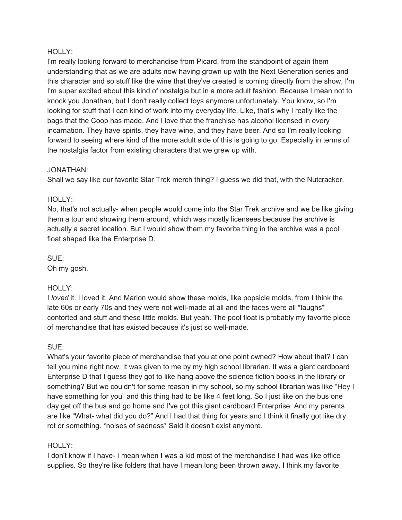#### HOLLY:

I'm really looking forward to merchandise from Picard, from the standpoint of again them understanding that as we are adults now having grown up with the Next Generation series and this character and so stuff like the wine that they've created is coming directly from the show, I'm I'm super excited about this kind of nostalgia but in a more adult fashion. Because I mean not to knock you Jonathan, but I don't really collect toys anymore unfortunately. You know, so I'm looking for stuff that I can kind of work into my everyday life. Like, that's why I really like the bags that the Coop has made. And I love that the franchise has alcohol licensed in every incarnation. They have spirits, they have wine, and they have beer. And so I'm really looking forward to seeing where kind of the more adult side of this is going to go. Especially in terms of the nostalgia factor from existing characters that we grew up with.

#### JONATHAN:

Shall we say like our favorite Star Trek merch thing? I guess we did that, with the Nutcracker.

#### HOLLY:

No, that's not actually- when people would come into the Star Trek archive and we be like giving them a tour and showing them around, which was mostly licensees because the archive is actually a secret location. But I would show them my favorite thing in the archive was a pool float shaped like the Enterprise D.

SUE:

Oh my gosh.

### HOLLY:

I *loved* it. I loved it. And Marion would show these molds, like popsicle molds, from I think the late 60s or early 70s and they were not well-made at all and the faces were all \*laughs\* contorted and stuff and these little molds. But yeah. The pool float is probably my favorite piece of merchandise that has existed because it's just so well-made.

### SUE:

What's your favorite piece of merchandise that you at one point owned? How about that? I can tell you mine right now. It was given to me by my high school librarian. It was a giant cardboard Enterprise D that I guess they got to like hang above the science fiction books in the library or something? But we couldn't for some reason in my school, so my school librarian was like "Hey I have something for you" and this thing had to be like 4 feet long. So I just like on the bus one day get off the bus and go home and I've got this giant cardboard Enterprise. And my parents are like "What- what did you do?" And I had that thing for years and I think it finally got like dry rot or something. \*noises of sadness\* Said it doesn't exist anymore.

### HOLLY:

I don't know if I have- I mean when I was a kid most of the merchandise I had was like office supplies. So they're like folders that have I mean long been thrown away. I think my favorite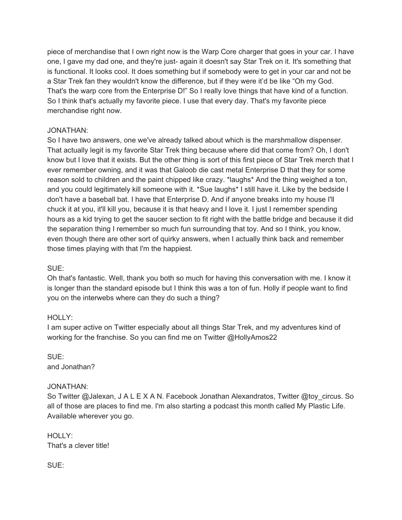piece of merchandise that I own right now is the Warp Core charger that goes in your car. I have one, I gave my dad one, and they're just- again it doesn't say Star Trek on it. It's something that is functional. It looks cool. It does something but if somebody were to get in your car and not be a Star Trek fan they wouldn't know the difference, but if they were it'd be like "Oh my God. That's the warp core from the Enterprise D!" So I really love things that have kind of a function. So I think that's actually my favorite piece. I use that every day. That's my favorite piece merchandise right now.

### JONATHAN:

So I have two answers, one we've already talked about which is the marshmallow dispenser. That actually legit is my favorite Star Trek thing because where did that come from? Oh, I don't know but I love that it exists. But the other thing is sort of this first piece of Star Trek merch that I ever remember owning, and it was that Galoob die cast metal Enterprise D that they for some reason sold to children and the paint chipped like crazy. \*laughs\* And the thing weighed a ton, and you could legitimately kill someone with it. \*Sue laughs\* I still have it. Like by the bedside I don't have a baseball bat. I have that Enterprise D. And if anyone breaks into my house I'll chuck it at you, it'll kill you, because it is that heavy and I love it. I just I remember spending hours as a kid trying to get the saucer section to fit right with the battle bridge and because it did the separation thing I remember so much fun surrounding that toy. And so I think, you know, even though there are other sort of quirky answers, when I actually think back and remember those times playing with that I'm the happiest.

SUE:

Oh that's fantastic. Well, thank you both so much for having this conversation with me. I know it is longer than the standard episode but I think this was a ton of fun. Holly if people want to find you on the interwebs where can they do such a thing?

### HOLLY:

I am super active on Twitter especially about all things Star Trek, and my adventures kind of working for the franchise. So you can find me on Twitter @HollyAmos22

SUE: and Jonathan?

#### JONATHAN:

So Twitter @Jalexan, J A L E X A N. Facebook Jonathan Alexandratos, Twitter @toy\_circus. So all of those are places to find me. I'm also starting a podcast this month called My Plastic Life. Available wherever you go.

HOLLY: That's a clever title!

SUE: